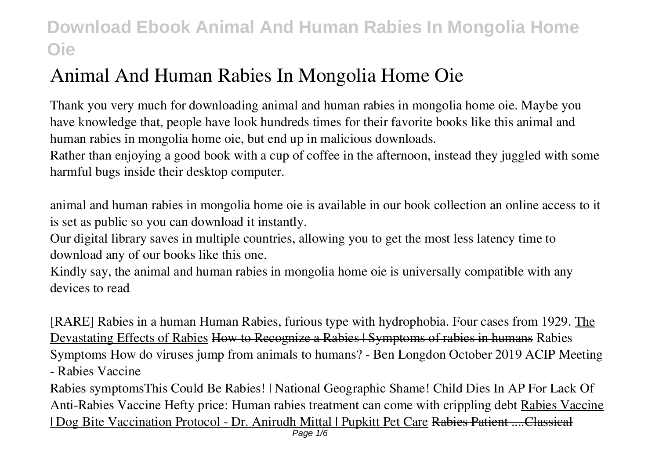# **Animal And Human Rabies In Mongolia Home Oie**

Thank you very much for downloading **animal and human rabies in mongolia home oie**. Maybe you have knowledge that, people have look hundreds times for their favorite books like this animal and human rabies in mongolia home oie, but end up in malicious downloads.

Rather than enjoying a good book with a cup of coffee in the afternoon, instead they juggled with some harmful bugs inside their desktop computer.

animal and human rabies in mongolia home oie is available in our book collection an online access to it is set as public so you can download it instantly.

Our digital library saves in multiple countries, allowing you to get the most less latency time to download any of our books like this one.

Kindly say, the animal and human rabies in mongolia home oie is universally compatible with any devices to read

**[RARE] Rabies in a human Human Rabies, furious type with hydrophobia. Four cases from 1929.** The Devastating Effects of Rabies How to Recognize a Rabies | Symptoms of rabies in humans *Rabies Symptoms* How do viruses jump from animals to humans? - Ben Longdon *October 2019 ACIP Meeting - Rabies Vaccine*

Rabies symptoms*This Could Be Rabies! | National Geographic Shame! Child Dies In AP For Lack Of Anti-Rabies Vaccine Hefty price: Human rabies treatment can come with crippling debt* Rabies Vaccine | Dog Bite Vaccination Protocol - Dr. Anirudh Mittal | Pupkitt Pet Care Rabies Patient ....Classical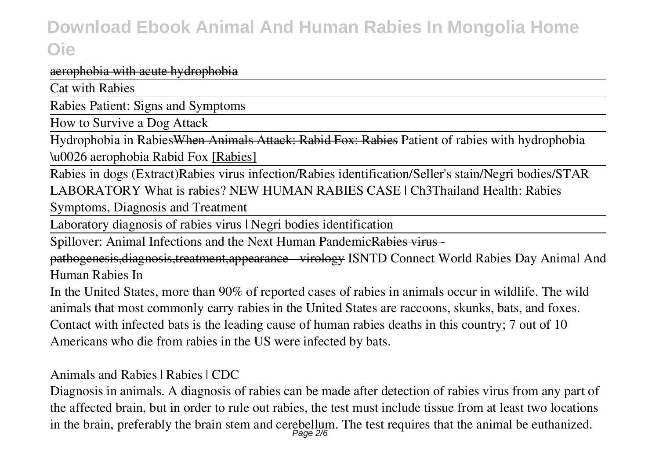#### aerophobia with acute hydrophobia

Cat with Rabies

Rabies Patient: Signs and Symptoms

How to Survive a Dog Attack

Hydrophobia in RabiesWhen Animals Attack: Rabid Fox: Rabies *Patient of rabies with hydrophobia*

*\u0026 aerophobia* **Rabid Fox** [Rabies]

Rabies in dogs (Extract)*Rabies virus infection/Rabies identification/Seller's stain/Negri bodies/STAR LABORATORY What is rabies? NEW HUMAN RABIES CASE | Ch3Thailand* **Health: Rabies**

**Symptoms, Diagnosis and Treatment**

Laboratory diagnosis of rabies virus | Negri bodies identification

Spillover: Animal Infections and the Next Human PandemicRabies virus -

pathogenesis,diagnosis,treatment,appearance - virology ISNTD Connect World Rabies Day *Animal And Human Rabies In*

In the United States, more than 90% of reported cases of rabies in animals occur in wildlife. The wild animals that most commonly carry rabies in the United States are raccoons, skunks, bats, and foxes. Contact with infected bats is the leading cause of human rabies deaths in this country; 7 out of 10 Americans who die from rabies in the US were infected by bats.

*Animals and Rabies | Rabies | CDC*

Diagnosis in animals. A diagnosis of rabies can be made after detection of rabies virus from any part of the affected brain, but in order to rule out rabies, the test must include tissue from at least two locations in the brain, preferably the brain stem and cerebellum. The test requires that the animal be euthanized.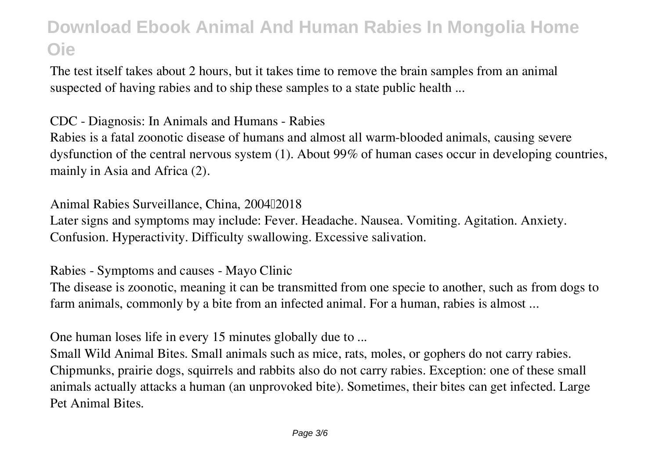The test itself takes about 2 hours, but it takes time to remove the brain samples from an animal suspected of having rabies and to ship these samples to a state public health ...

*CDC - Diagnosis: In Animals and Humans - Rabies*

Rabies is a fatal zoonotic disease of humans and almost all warm-blooded animals, causing severe dysfunction of the central nervous system (1). About 99% of human cases occur in developing countries, mainly in Asia and Africa (2).

Animal Rabies Surveillance, China, 2004<sup>[12018]</sup>

Later signs and symptoms may include: Fever. Headache. Nausea. Vomiting. Agitation. Anxiety. Confusion. Hyperactivity. Difficulty swallowing. Excessive salivation.

*Rabies - Symptoms and causes - Mayo Clinic*

The disease is zoonotic, meaning it can be transmitted from one specie to another, such as from dogs to farm animals, commonly by a bite from an infected animal. For a human, rabies is almost ...

*One human loses life in every 15 minutes globally due to ...*

Small Wild Animal Bites. Small animals such as mice, rats, moles, or gophers do not carry rabies. Chipmunks, prairie dogs, squirrels and rabbits also do not carry rabies. Exception: one of these small animals actually attacks a human (an unprovoked bite). Sometimes, their bites can get infected. Large Pet Animal Bites.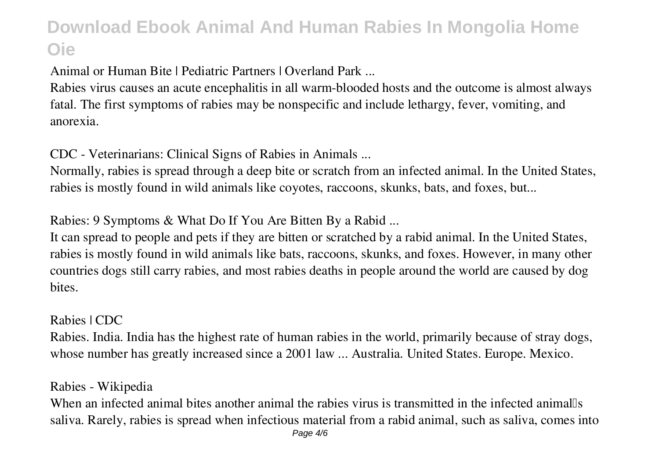*Animal or Human Bite | Pediatric Partners | Overland Park ...*

Rabies virus causes an acute encephalitis in all warm-blooded hosts and the outcome is almost always fatal. The first symptoms of rabies may be nonspecific and include lethargy, fever, vomiting, and anorexia.

*CDC - Veterinarians: Clinical Signs of Rabies in Animals ...*

Normally, rabies is spread through a deep bite or scratch from an infected animal. In the United States, rabies is mostly found in wild animals like coyotes, raccoons, skunks, bats, and foxes, but...

*Rabies: 9 Symptoms & What Do If You Are Bitten By a Rabid ...*

It can spread to people and pets if they are bitten or scratched by a rabid animal. In the United States, rabies is mostly found in wild animals like bats, raccoons, skunks, and foxes. However, in many other countries dogs still carry rabies, and most rabies deaths in people around the world are caused by dog bites.

*Rabies | CDC*

Rabies. India. India has the highest rate of human rabies in the world, primarily because of stray dogs, whose number has greatly increased since a 2001 law ... Australia. United States. Europe. Mexico.

*Rabies - Wikipedia*

When an infected animal bites another animal the rabies virus is transmitted in the infected animalls saliva. Rarely, rabies is spread when infectious material from a rabid animal, such as saliva, comes into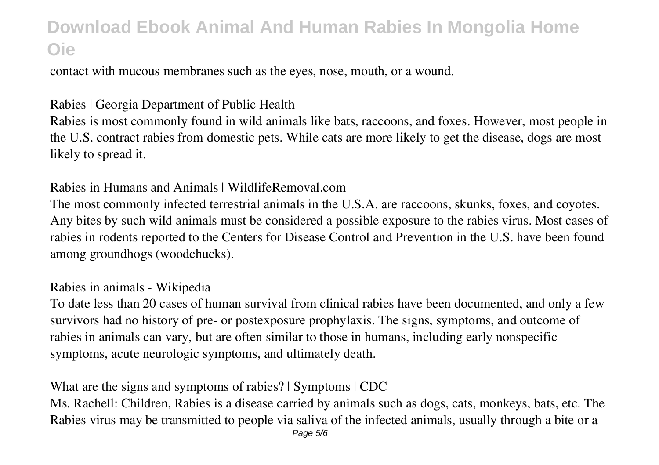contact with mucous membranes such as the eyes, nose, mouth, or a wound.

#### *Rabies | Georgia Department of Public Health*

Rabies is most commonly found in wild animals like bats, raccoons, and foxes. However, most people in the U.S. contract rabies from domestic pets. While cats are more likely to get the disease, dogs are most likely to spread it.

#### *Rabies in Humans and Animals | WildlifeRemoval.com*

The most commonly infected terrestrial animals in the U.S.A. are raccoons, skunks, foxes, and coyotes. Any bites by such wild animals must be considered a possible exposure to the rabies virus. Most cases of rabies in rodents reported to the Centers for Disease Control and Prevention in the U.S. have been found among groundhogs (woodchucks).

#### *Rabies in animals - Wikipedia*

To date less than 20 cases of human survival from clinical rabies have been documented, and only a few survivors had no history of pre- or postexposure prophylaxis. The signs, symptoms, and outcome of rabies in animals can vary, but are often similar to those in humans, including early nonspecific symptoms, acute neurologic symptoms, and ultimately death.

#### *What are the signs and symptoms of rabies? | Symptoms | CDC*

Ms. Rachell: Children, Rabies is a disease carried by animals such as dogs, cats, monkeys, bats, etc. The Rabies virus may be transmitted to people via saliva of the infected animals, usually through a bite or a